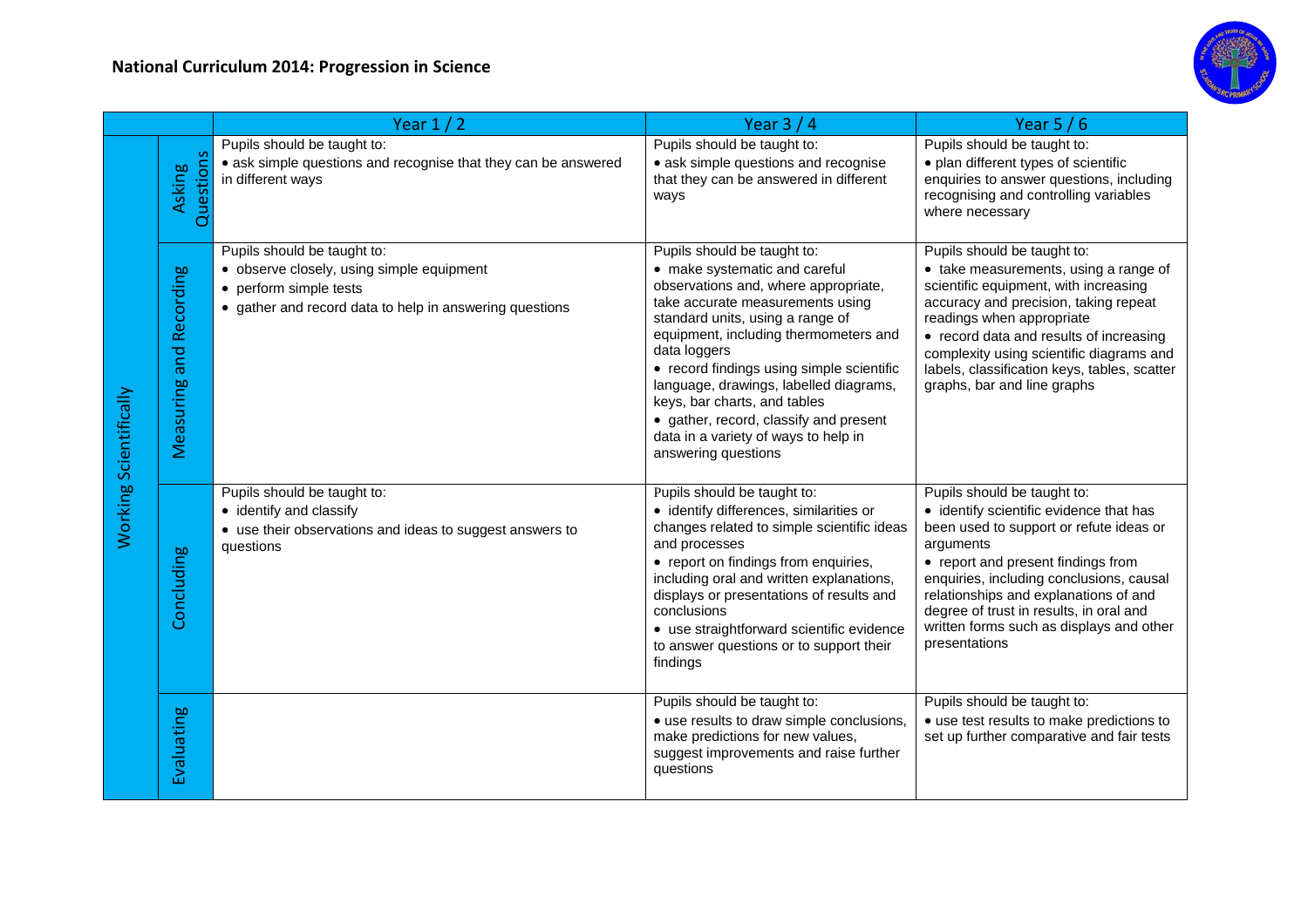

|                        |                            | Year $1/2$                                                                                                                                                    | Year $3/4$                                                                                                                                                                                                                                                                                                                                                                                                                                                            | Year $5/6$                                                                                                                                                                                                                                                                                                                                                        |
|------------------------|----------------------------|---------------------------------------------------------------------------------------------------------------------------------------------------------------|-----------------------------------------------------------------------------------------------------------------------------------------------------------------------------------------------------------------------------------------------------------------------------------------------------------------------------------------------------------------------------------------------------------------------------------------------------------------------|-------------------------------------------------------------------------------------------------------------------------------------------------------------------------------------------------------------------------------------------------------------------------------------------------------------------------------------------------------------------|
| Working Scientifically | Questions<br><b>Asking</b> | Pupils should be taught to:<br>• ask simple questions and recognise that they can be answered<br>in different ways                                            | Pupils should be taught to:<br>• ask simple questions and recognise<br>that they can be answered in different<br>ways                                                                                                                                                                                                                                                                                                                                                 | Pupils should be taught to:<br>• plan different types of scientific<br>enquiries to answer questions, including<br>recognising and controlling variables<br>where necessary                                                                                                                                                                                       |
|                        | and Recording<br>Measuring | Pupils should be taught to:<br>• observe closely, using simple equipment<br>• perform simple tests<br>• gather and record data to help in answering questions | Pupils should be taught to:<br>• make systematic and careful<br>observations and, where appropriate,<br>take accurate measurements using<br>standard units, using a range of<br>equipment, including thermometers and<br>data loggers<br>• record findings using simple scientific<br>language, drawings, labelled diagrams,<br>keys, bar charts, and tables<br>• gather, record, classify and present<br>data in a variety of ways to help in<br>answering questions | Pupils should be taught to:<br>• take measurements, using a range of<br>scientific equipment, with increasing<br>accuracy and precision, taking repeat<br>readings when appropriate<br>• record data and results of increasing<br>complexity using scientific diagrams and<br>labels, classification keys, tables, scatter<br>graphs, bar and line graphs         |
|                        | Concluding                 | Pupils should be taught to:<br>• identify and classify<br>• use their observations and ideas to suggest answers to<br>questions                               | Pupils should be taught to:<br>· identify differences, similarities or<br>changes related to simple scientific ideas<br>and processes<br>• report on findings from enquiries,<br>including oral and written explanations,<br>displays or presentations of results and<br>conclusions<br>• use straightforward scientific evidence<br>to answer questions or to support their<br>findings                                                                              | Pupils should be taught to:<br>• identify scientific evidence that has<br>been used to support or refute ideas or<br>arguments<br>• report and present findings from<br>enquiries, including conclusions, causal<br>relationships and explanations of and<br>degree of trust in results, in oral and<br>written forms such as displays and other<br>presentations |
|                        | Evaluating                 |                                                                                                                                                               | Pupils should be taught to:<br>• use results to draw simple conclusions,<br>make predictions for new values,<br>suggest improvements and raise further<br>questions                                                                                                                                                                                                                                                                                                   | Pupils should be taught to:<br>• use test results to make predictions to<br>set up further comparative and fair tests                                                                                                                                                                                                                                             |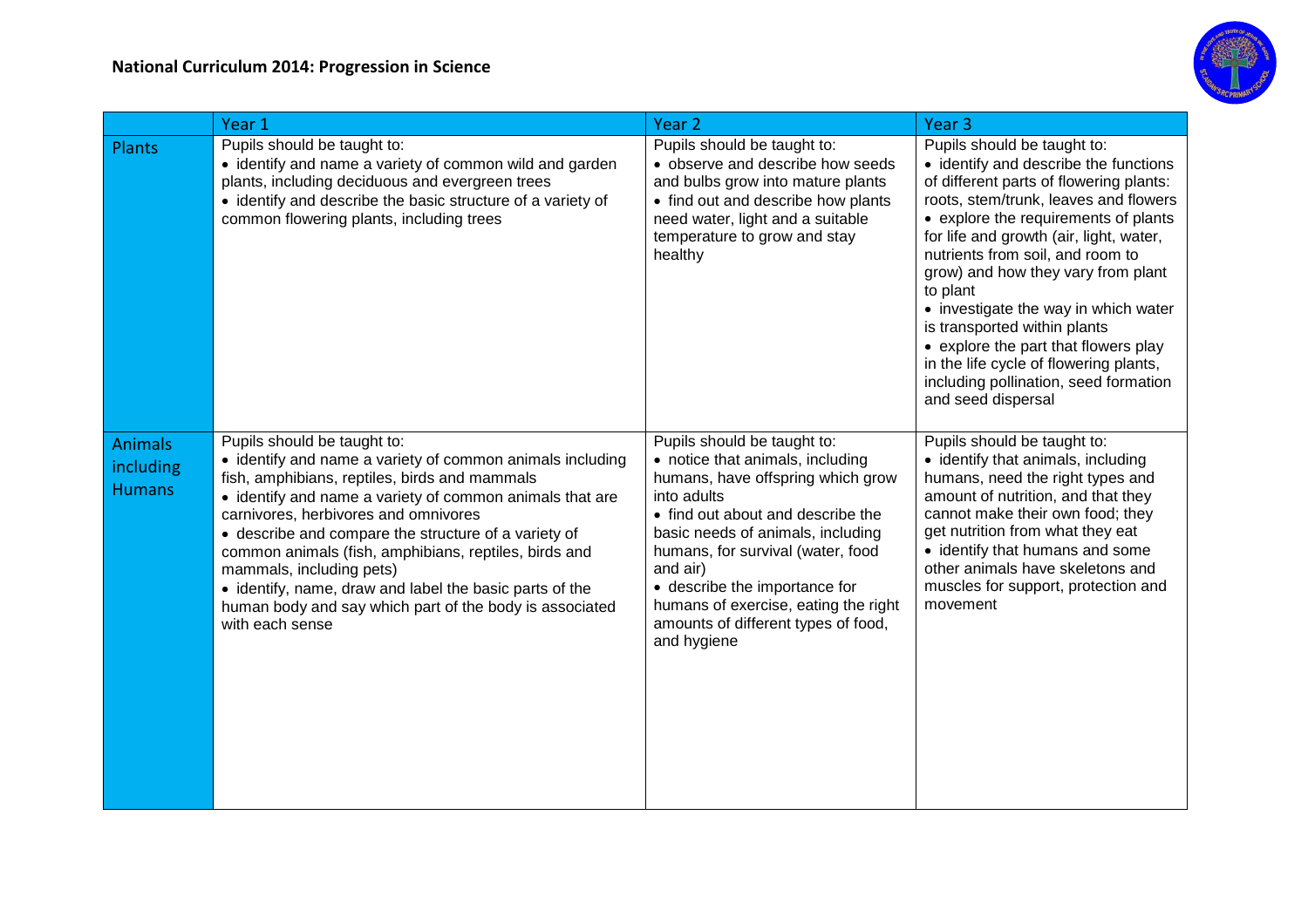

|                                              | Year 1                                                                                                                                                                                                                                                                                                                                                                                                                                                                                                                              | Year <sub>2</sub>                                                                                                                                                                                                                                                                                                                                                             | Year <sub>3</sub>                                                                                                                                                                                                                                                                                                                                                                                                                                                                                                                                          |
|----------------------------------------------|-------------------------------------------------------------------------------------------------------------------------------------------------------------------------------------------------------------------------------------------------------------------------------------------------------------------------------------------------------------------------------------------------------------------------------------------------------------------------------------------------------------------------------------|-------------------------------------------------------------------------------------------------------------------------------------------------------------------------------------------------------------------------------------------------------------------------------------------------------------------------------------------------------------------------------|------------------------------------------------------------------------------------------------------------------------------------------------------------------------------------------------------------------------------------------------------------------------------------------------------------------------------------------------------------------------------------------------------------------------------------------------------------------------------------------------------------------------------------------------------------|
| Plants                                       | Pupils should be taught to:<br>• identify and name a variety of common wild and garden<br>plants, including deciduous and evergreen trees<br>• identify and describe the basic structure of a variety of<br>common flowering plants, including trees                                                                                                                                                                                                                                                                                | Pupils should be taught to:<br>• observe and describe how seeds<br>and bulbs grow into mature plants<br>• find out and describe how plants<br>need water, light and a suitable<br>temperature to grow and stay<br>healthy                                                                                                                                                     | Pupils should be taught to:<br>• identify and describe the functions<br>of different parts of flowering plants:<br>roots, stem/trunk, leaves and flowers<br>• explore the requirements of plants<br>for life and growth (air, light, water,<br>nutrients from soil, and room to<br>grow) and how they vary from plant<br>to plant<br>• investigate the way in which water<br>is transported within plants<br>• explore the part that flowers play<br>in the life cycle of flowering plants,<br>including pollination, seed formation<br>and seed dispersal |
| <b>Animals</b><br>including<br><b>Humans</b> | Pupils should be taught to:<br>• identify and name a variety of common animals including<br>fish, amphibians, reptiles, birds and mammals<br>• identify and name a variety of common animals that are<br>carnivores, herbivores and omnivores<br>• describe and compare the structure of a variety of<br>common animals (fish, amphibians, reptiles, birds and<br>mammals, including pets)<br>• identify, name, draw and label the basic parts of the<br>human body and say which part of the body is associated<br>with each sense | Pupils should be taught to:<br>• notice that animals, including<br>humans, have offspring which grow<br>into adults<br>• find out about and describe the<br>basic needs of animals, including<br>humans, for survival (water, food<br>and air)<br>• describe the importance for<br>humans of exercise, eating the right<br>amounts of different types of food,<br>and hygiene | Pupils should be taught to:<br>• identify that animals, including<br>humans, need the right types and<br>amount of nutrition, and that they<br>cannot make their own food; they<br>get nutrition from what they eat<br>• identify that humans and some<br>other animals have skeletons and<br>muscles for support, protection and<br>movement                                                                                                                                                                                                              |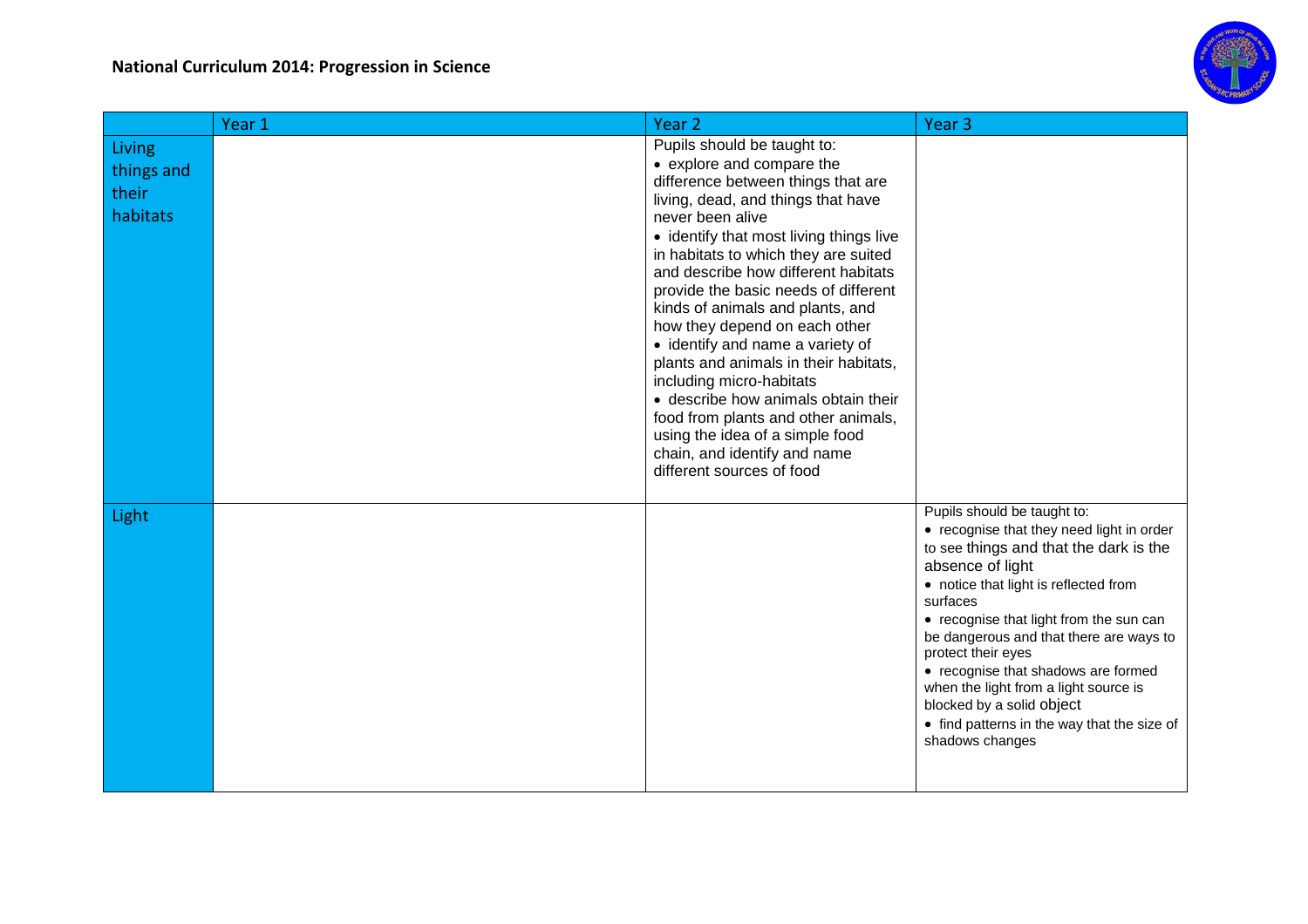

|                                           | Year <sub>1</sub> | Year <sub>2</sub>                                                                                                                                                                                                                                                                                                                                                                                                                                                                                                                                                                                                                                                                      | Year <sub>3</sub>                                                                                                                                                                                                                                                                                                                                                                                                                                                                      |
|-------------------------------------------|-------------------|----------------------------------------------------------------------------------------------------------------------------------------------------------------------------------------------------------------------------------------------------------------------------------------------------------------------------------------------------------------------------------------------------------------------------------------------------------------------------------------------------------------------------------------------------------------------------------------------------------------------------------------------------------------------------------------|----------------------------------------------------------------------------------------------------------------------------------------------------------------------------------------------------------------------------------------------------------------------------------------------------------------------------------------------------------------------------------------------------------------------------------------------------------------------------------------|
| Living<br>things and<br>their<br>habitats |                   | Pupils should be taught to:<br>• explore and compare the<br>difference between things that are<br>living, dead, and things that have<br>never been alive<br>• identify that most living things live<br>in habitats to which they are suited<br>and describe how different habitats<br>provide the basic needs of different<br>kinds of animals and plants, and<br>how they depend on each other<br>• identify and name a variety of<br>plants and animals in their habitats,<br>including micro-habitats<br>• describe how animals obtain their<br>food from plants and other animals,<br>using the idea of a simple food<br>chain, and identify and name<br>different sources of food |                                                                                                                                                                                                                                                                                                                                                                                                                                                                                        |
| Light                                     |                   |                                                                                                                                                                                                                                                                                                                                                                                                                                                                                                                                                                                                                                                                                        | Pupils should be taught to:<br>• recognise that they need light in order<br>to see things and that the dark is the<br>absence of light<br>• notice that light is reflected from<br>surfaces<br>• recognise that light from the sun can<br>be dangerous and that there are ways to<br>protect their eyes<br>• recognise that shadows are formed<br>when the light from a light source is<br>blocked by a solid object<br>• find patterns in the way that the size of<br>shadows changes |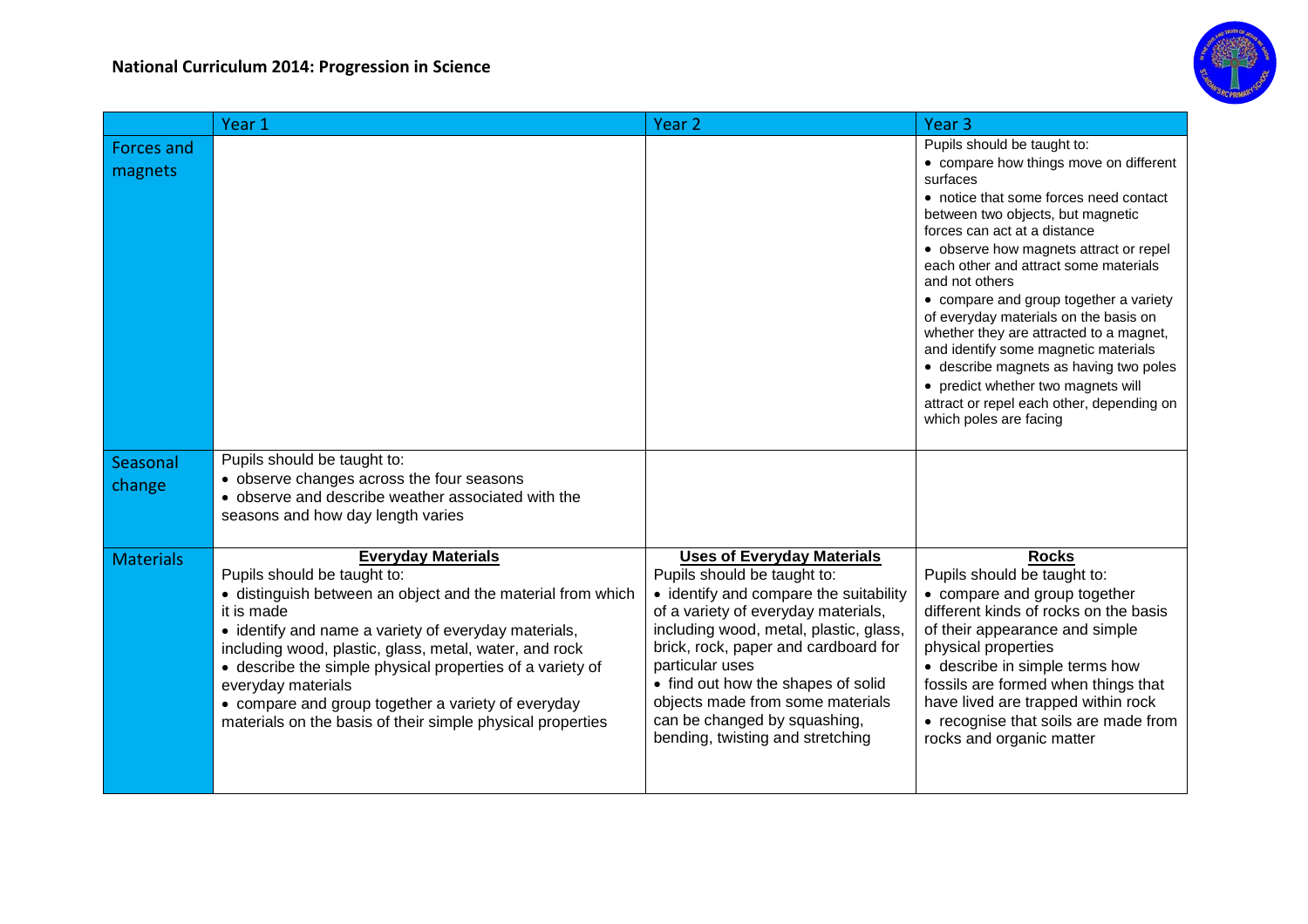

|                       | Year 1                                                                                                                                                                                                                                                                                                                                                                                                                                                         | Year <sub>2</sub>                                                                                                                                                                                                                                                                                                                                                                                    | Year <sub>3</sub>                                                                                                                                                                                                                                                                                                                                                                                                                                                                                                                                                                                                                  |
|-----------------------|----------------------------------------------------------------------------------------------------------------------------------------------------------------------------------------------------------------------------------------------------------------------------------------------------------------------------------------------------------------------------------------------------------------------------------------------------------------|------------------------------------------------------------------------------------------------------------------------------------------------------------------------------------------------------------------------------------------------------------------------------------------------------------------------------------------------------------------------------------------------------|------------------------------------------------------------------------------------------------------------------------------------------------------------------------------------------------------------------------------------------------------------------------------------------------------------------------------------------------------------------------------------------------------------------------------------------------------------------------------------------------------------------------------------------------------------------------------------------------------------------------------------|
| Forces and<br>magnets |                                                                                                                                                                                                                                                                                                                                                                                                                                                                |                                                                                                                                                                                                                                                                                                                                                                                                      | Pupils should be taught to:<br>• compare how things move on different<br>surfaces<br>• notice that some forces need contact<br>between two objects, but magnetic<br>forces can act at a distance<br>• observe how magnets attract or repel<br>each other and attract some materials<br>and not others<br>• compare and group together a variety<br>of everyday materials on the basis on<br>whether they are attracted to a magnet,<br>and identify some magnetic materials<br>· describe magnets as having two poles<br>• predict whether two magnets will<br>attract or repel each other, depending on<br>which poles are facing |
| Seasonal<br>change    | Pupils should be taught to:<br>• observe changes across the four seasons<br>• observe and describe weather associated with the<br>seasons and how day length varies                                                                                                                                                                                                                                                                                            |                                                                                                                                                                                                                                                                                                                                                                                                      |                                                                                                                                                                                                                                                                                                                                                                                                                                                                                                                                                                                                                                    |
| <b>Materials</b>      | <b>Everyday Materials</b><br>Pupils should be taught to:<br>• distinguish between an object and the material from which<br>it is made<br>• identify and name a variety of everyday materials,<br>including wood, plastic, glass, metal, water, and rock<br>• describe the simple physical properties of a variety of<br>everyday materials<br>• compare and group together a variety of everyday<br>materials on the basis of their simple physical properties | <b>Uses of Everyday Materials</b><br>Pupils should be taught to:<br>• identify and compare the suitability<br>of a variety of everyday materials,<br>including wood, metal, plastic, glass,<br>brick, rock, paper and cardboard for<br>particular uses<br>• find out how the shapes of solid<br>objects made from some materials<br>can be changed by squashing,<br>bending, twisting and stretching | <b>Rocks</b><br>Pupils should be taught to:<br>• compare and group together<br>different kinds of rocks on the basis<br>of their appearance and simple<br>physical properties<br>• describe in simple terms how<br>fossils are formed when things that<br>have lived are trapped within rock<br>• recognise that soils are made from<br>rocks and organic matter                                                                                                                                                                                                                                                                   |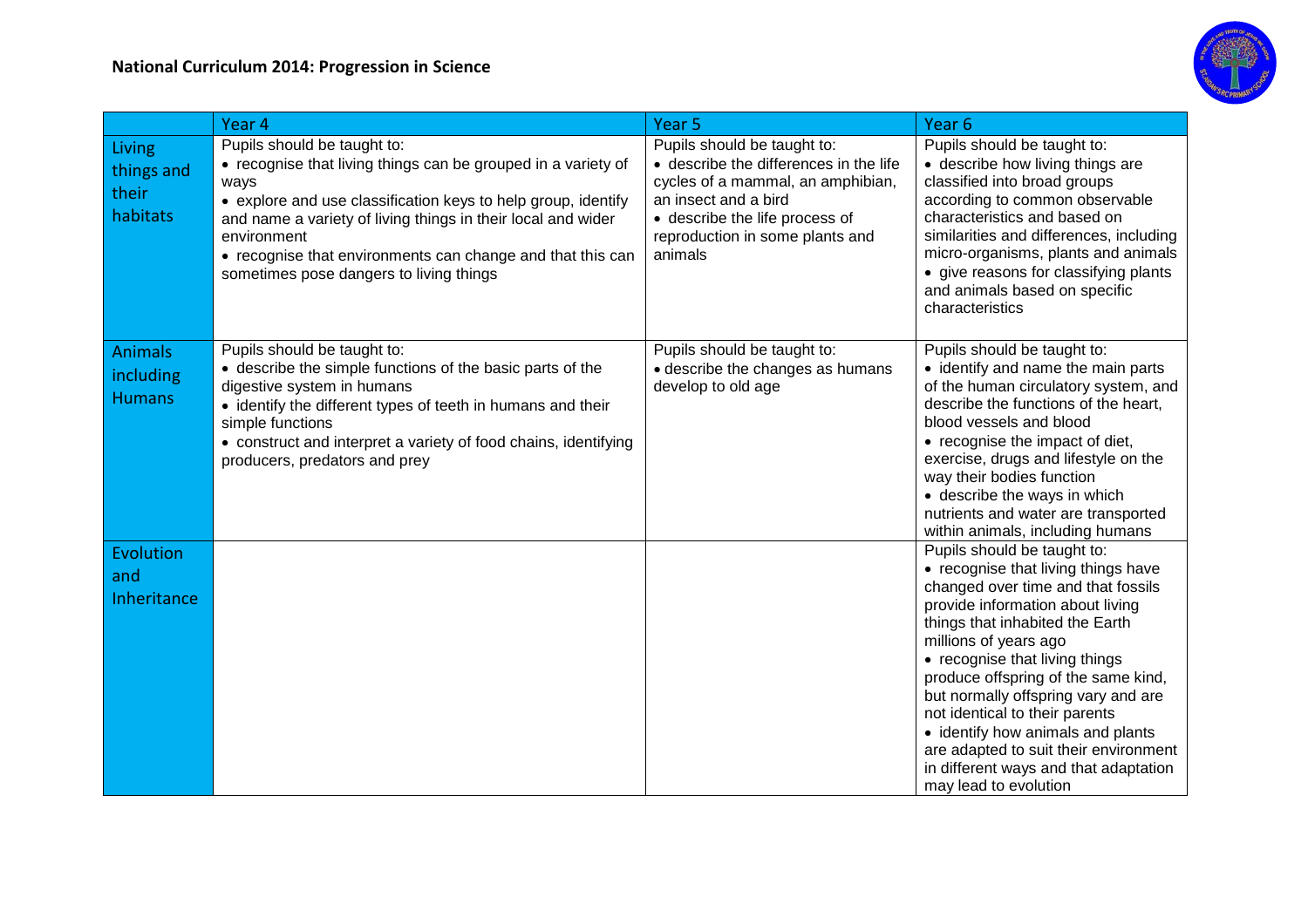

|                                              | Year 4                                                                                                                                                                                                                                                                                                                                                        | Year <sub>5</sub>                                                                                                                                                                                                  | Year <sub>6</sub>                                                                                                                                                                                                                                                                                                                                                                                                                                                                                          |
|----------------------------------------------|---------------------------------------------------------------------------------------------------------------------------------------------------------------------------------------------------------------------------------------------------------------------------------------------------------------------------------------------------------------|--------------------------------------------------------------------------------------------------------------------------------------------------------------------------------------------------------------------|------------------------------------------------------------------------------------------------------------------------------------------------------------------------------------------------------------------------------------------------------------------------------------------------------------------------------------------------------------------------------------------------------------------------------------------------------------------------------------------------------------|
| Living<br>things and<br>their<br>habitats    | Pupils should be taught to:<br>• recognise that living things can be grouped in a variety of<br>ways<br>• explore and use classification keys to help group, identify<br>and name a variety of living things in their local and wider<br>environment<br>• recognise that environments can change and that this can<br>sometimes pose dangers to living things | Pupils should be taught to:<br>• describe the differences in the life<br>cycles of a mammal, an amphibian,<br>an insect and a bird<br>• describe the life process of<br>reproduction in some plants and<br>animals | Pupils should be taught to:<br>• describe how living things are<br>classified into broad groups<br>according to common observable<br>characteristics and based on<br>similarities and differences, including<br>micro-organisms, plants and animals<br>• give reasons for classifying plants<br>and animals based on specific<br>characteristics                                                                                                                                                           |
| <b>Animals</b><br>including<br><b>Humans</b> | Pupils should be taught to:<br>• describe the simple functions of the basic parts of the<br>digestive system in humans<br>• identify the different types of teeth in humans and their<br>simple functions<br>• construct and interpret a variety of food chains, identifying<br>producers, predators and prey                                                 | Pupils should be taught to:<br>• describe the changes as humans<br>develop to old age                                                                                                                              | Pupils should be taught to:<br>• identify and name the main parts<br>of the human circulatory system, and<br>describe the functions of the heart,<br>blood vessels and blood<br>• recognise the impact of diet,<br>exercise, drugs and lifestyle on the<br>way their bodies function<br>• describe the ways in which<br>nutrients and water are transported<br>within animals, including humans                                                                                                            |
| Evolution<br>and<br>Inheritance              |                                                                                                                                                                                                                                                                                                                                                               |                                                                                                                                                                                                                    | Pupils should be taught to:<br>• recognise that living things have<br>changed over time and that fossils<br>provide information about living<br>things that inhabited the Earth<br>millions of years ago<br>• recognise that living things<br>produce offspring of the same kind,<br>but normally offspring vary and are<br>not identical to their parents<br>• identify how animals and plants<br>are adapted to suit their environment<br>in different ways and that adaptation<br>may lead to evolution |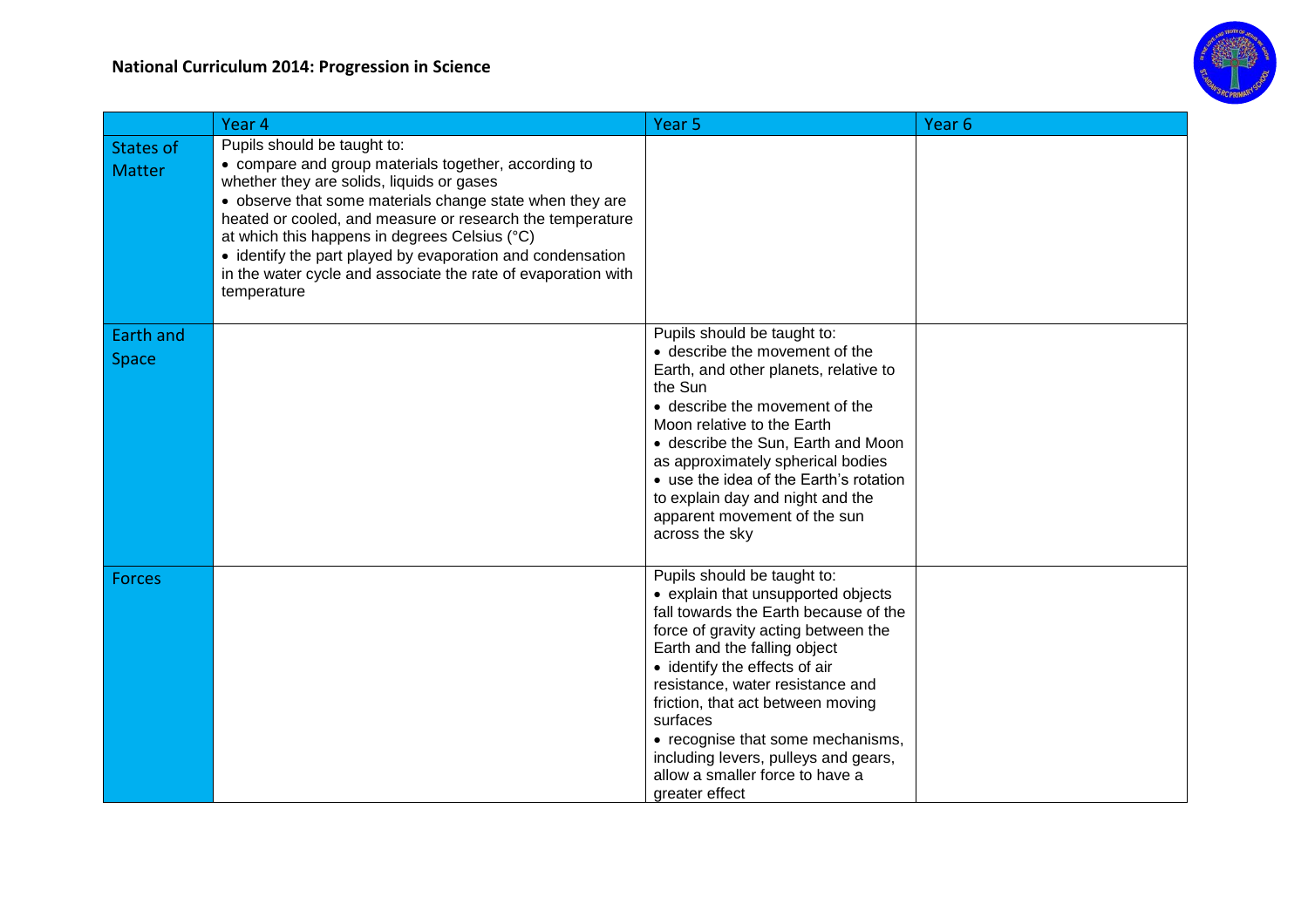

|                                   | Year 4                                                                                                                                                                                                                                                                                                                                                                                                                                                   | Year <sub>5</sub>                                                                                                                                                                                                                                                                                                                                                                                                                         | Year <sub>6</sub> |
|-----------------------------------|----------------------------------------------------------------------------------------------------------------------------------------------------------------------------------------------------------------------------------------------------------------------------------------------------------------------------------------------------------------------------------------------------------------------------------------------------------|-------------------------------------------------------------------------------------------------------------------------------------------------------------------------------------------------------------------------------------------------------------------------------------------------------------------------------------------------------------------------------------------------------------------------------------------|-------------------|
| <b>States of</b><br><b>Matter</b> | Pupils should be taught to:<br>• compare and group materials together, according to<br>whether they are solids, liquids or gases<br>• observe that some materials change state when they are<br>heated or cooled, and measure or research the temperature<br>at which this happens in degrees Celsius (°C)<br>• identify the part played by evaporation and condensation<br>in the water cycle and associate the rate of evaporation with<br>temperature |                                                                                                                                                                                                                                                                                                                                                                                                                                           |                   |
| Earth and<br>Space                |                                                                                                                                                                                                                                                                                                                                                                                                                                                          | Pupils should be taught to:<br>• describe the movement of the<br>Earth, and other planets, relative to<br>the Sun<br>• describe the movement of the<br>Moon relative to the Earth<br>• describe the Sun, Earth and Moon<br>as approximately spherical bodies<br>• use the idea of the Earth's rotation<br>to explain day and night and the<br>apparent movement of the sun<br>across the sky                                              |                   |
| <b>Forces</b>                     |                                                                                                                                                                                                                                                                                                                                                                                                                                                          | Pupils should be taught to:<br>• explain that unsupported objects<br>fall towards the Earth because of the<br>force of gravity acting between the<br>Earth and the falling object<br>• identify the effects of air<br>resistance, water resistance and<br>friction, that act between moving<br>surfaces<br>• recognise that some mechanisms,<br>including levers, pulleys and gears,<br>allow a smaller force to have a<br>greater effect |                   |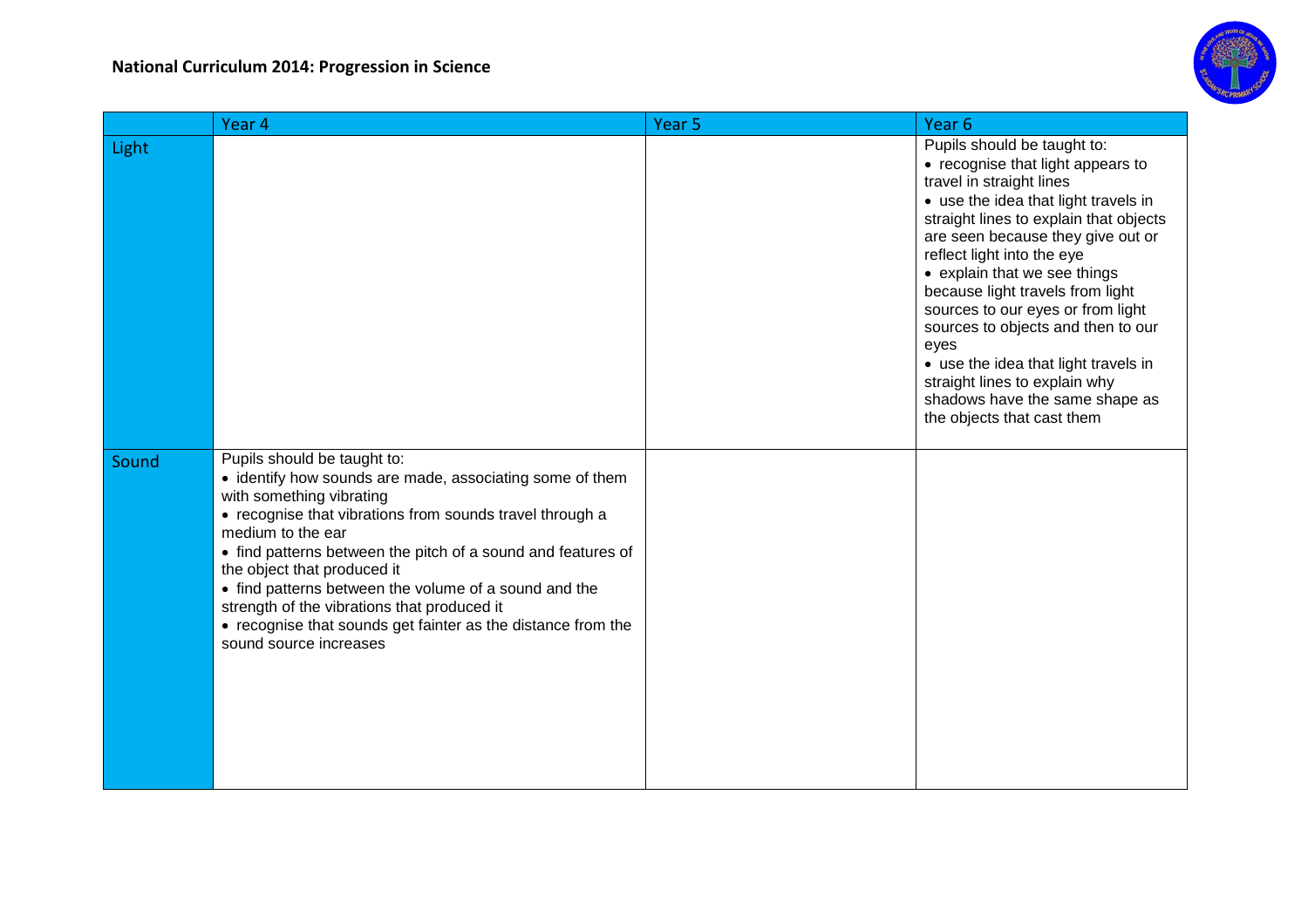

|       | Year 4                                                                                                                                                                                                                                                                                                                                                                                                                                                                                                | Year 5 | Year <sub>6</sub>                                                                                                                                                                                                                                                                                                                                                                                                                                                                                                                                 |
|-------|-------------------------------------------------------------------------------------------------------------------------------------------------------------------------------------------------------------------------------------------------------------------------------------------------------------------------------------------------------------------------------------------------------------------------------------------------------------------------------------------------------|--------|---------------------------------------------------------------------------------------------------------------------------------------------------------------------------------------------------------------------------------------------------------------------------------------------------------------------------------------------------------------------------------------------------------------------------------------------------------------------------------------------------------------------------------------------------|
| Light |                                                                                                                                                                                                                                                                                                                                                                                                                                                                                                       |        | Pupils should be taught to:<br>• recognise that light appears to<br>travel in straight lines<br>• use the idea that light travels in<br>straight lines to explain that objects<br>are seen because they give out or<br>reflect light into the eye<br>• explain that we see things<br>because light travels from light<br>sources to our eyes or from light<br>sources to objects and then to our<br>eyes<br>• use the idea that light travels in<br>straight lines to explain why<br>shadows have the same shape as<br>the objects that cast them |
| Sound | Pupils should be taught to:<br>• identify how sounds are made, associating some of them<br>with something vibrating<br>• recognise that vibrations from sounds travel through a<br>medium to the ear<br>• find patterns between the pitch of a sound and features of<br>the object that produced it<br>• find patterns between the volume of a sound and the<br>strength of the vibrations that produced it<br>• recognise that sounds get fainter as the distance from the<br>sound source increases |        |                                                                                                                                                                                                                                                                                                                                                                                                                                                                                                                                                   |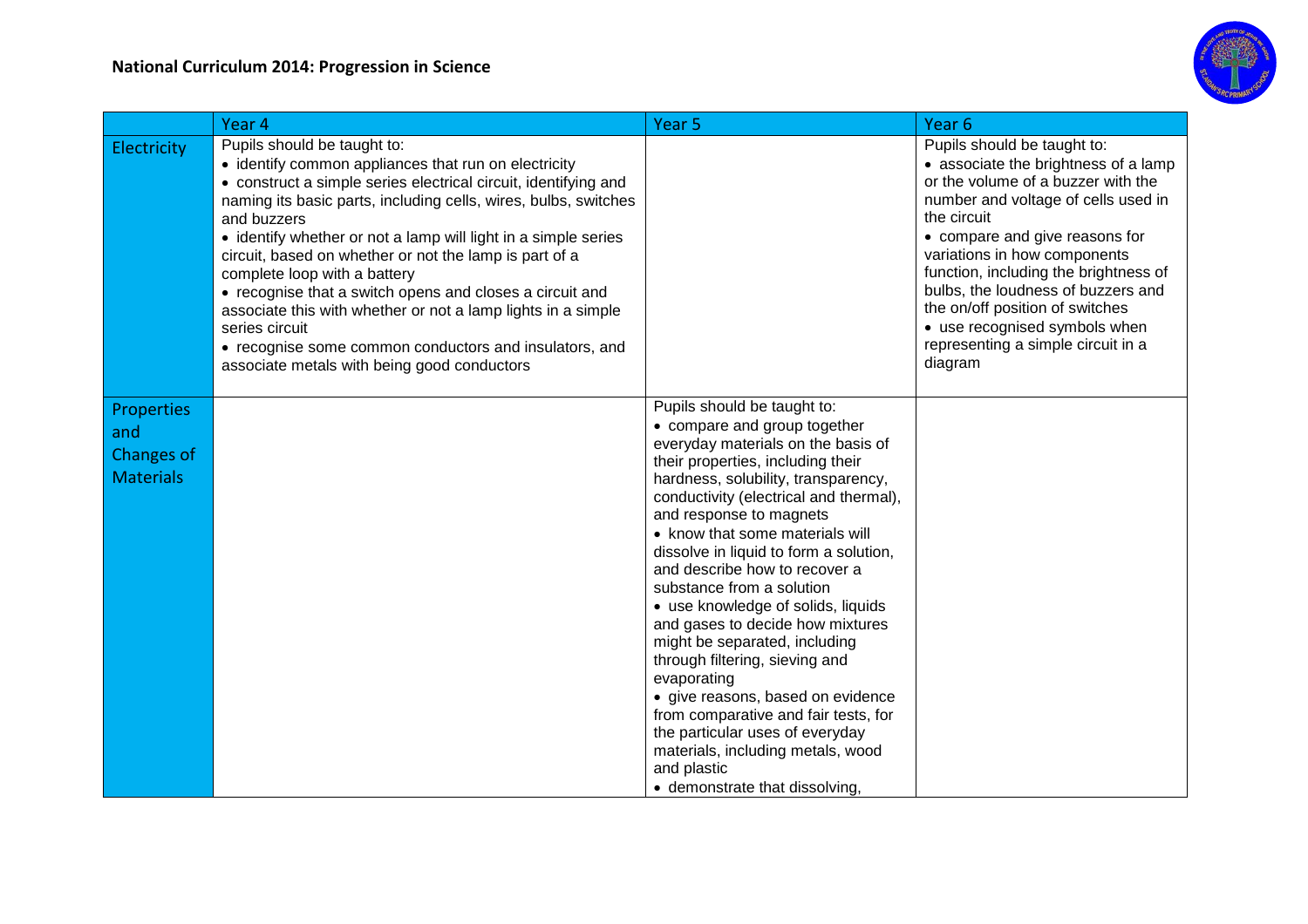

|                                                            | Year 4                                                                                                                                                                                                                                                                                                                                                                                                                                                                                                                                                                                                                                                      | Year <sub>5</sub>                                                                                                                                                                                                                                                                                                                                                                                                                                                                                                                                                                                                                                                                                                                                               | Year <sub>6</sub>                                                                                                                                                                                                                                                                                                                                                                                                                     |
|------------------------------------------------------------|-------------------------------------------------------------------------------------------------------------------------------------------------------------------------------------------------------------------------------------------------------------------------------------------------------------------------------------------------------------------------------------------------------------------------------------------------------------------------------------------------------------------------------------------------------------------------------------------------------------------------------------------------------------|-----------------------------------------------------------------------------------------------------------------------------------------------------------------------------------------------------------------------------------------------------------------------------------------------------------------------------------------------------------------------------------------------------------------------------------------------------------------------------------------------------------------------------------------------------------------------------------------------------------------------------------------------------------------------------------------------------------------------------------------------------------------|---------------------------------------------------------------------------------------------------------------------------------------------------------------------------------------------------------------------------------------------------------------------------------------------------------------------------------------------------------------------------------------------------------------------------------------|
| Electricity                                                | Pupils should be taught to:<br>• identify common appliances that run on electricity<br>• construct a simple series electrical circuit, identifying and<br>naming its basic parts, including cells, wires, bulbs, switches<br>and buzzers<br>• identify whether or not a lamp will light in a simple series<br>circuit, based on whether or not the lamp is part of a<br>complete loop with a battery<br>• recognise that a switch opens and closes a circuit and<br>associate this with whether or not a lamp lights in a simple<br>series circuit<br>• recognise some common conductors and insulators, and<br>associate metals with being good conductors |                                                                                                                                                                                                                                                                                                                                                                                                                                                                                                                                                                                                                                                                                                                                                                 | Pupils should be taught to:<br>• associate the brightness of a lamp<br>or the volume of a buzzer with the<br>number and voltage of cells used in<br>the circuit<br>• compare and give reasons for<br>variations in how components<br>function, including the brightness of<br>bulbs, the loudness of buzzers and<br>the on/off position of switches<br>• use recognised symbols when<br>representing a simple circuit in a<br>diagram |
| <b>Properties</b><br>and<br>Changes of<br><b>Materials</b> |                                                                                                                                                                                                                                                                                                                                                                                                                                                                                                                                                                                                                                                             | Pupils should be taught to:<br>• compare and group together<br>everyday materials on the basis of<br>their properties, including their<br>hardness, solubility, transparency,<br>conductivity (electrical and thermal),<br>and response to magnets<br>• know that some materials will<br>dissolve in liquid to form a solution,<br>and describe how to recover a<br>substance from a solution<br>• use knowledge of solids, liquids<br>and gases to decide how mixtures<br>might be separated, including<br>through filtering, sieving and<br>evaporating<br>· give reasons, based on evidence<br>from comparative and fair tests, for<br>the particular uses of everyday<br>materials, including metals, wood<br>and plastic<br>• demonstrate that dissolving, |                                                                                                                                                                                                                                                                                                                                                                                                                                       |